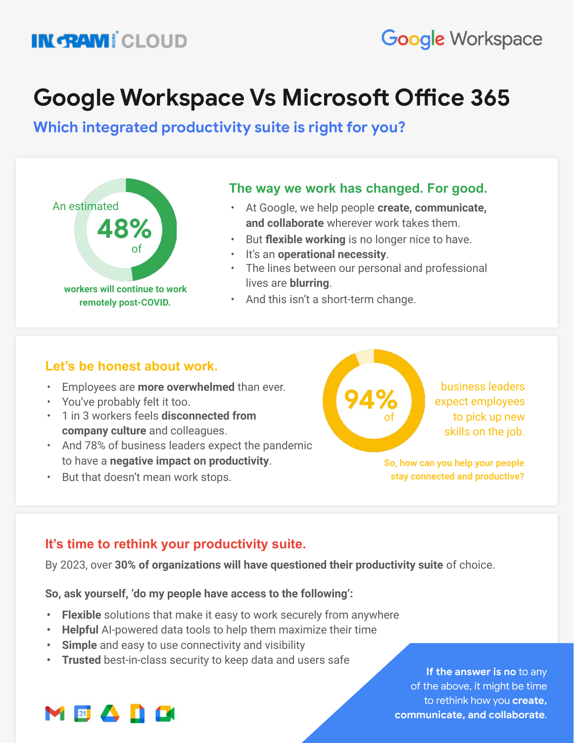# **IN GRAM!** CLOUD

# **Google Workspace Vs Microsoft Office 365**

**Which integrated productivity suite is right for you?**



### **The way we work has changed. For good.**

- At Google, we help people **create, communicate, and collaborate** wherever work takes them.
- But **flexible working** is no longer nice to have.
- It's an **operational necessity**.
- The lines between our personal and professional lives are **blurring**.
- And this isn't a short-term change.

## **Let's be honest about work.**

- Employees are **more overwhelmed** than ever.
- You've probably felt it too.
- 1 in 3 workers feels **disconnected from company culture** and colleagues.
- And 78% of business leaders expect the pandemic to have a **negative impact on productivity**.
- But that doesn't mean work stops.



business leaders expect employees to pick up new skills on the job.

**So, how can you help your people stay connected and productive?**

# **It's time to rethink your productivity suite.**

By 2023, over **30% of organizations will have questioned their productivity suite** of choice.

**So, ask yourself, 'do my people have access to the following':**

- **• Flexible** solutions that make it easy to work securely from anywhere
- **• Helpful** AI-powered data tools to help them maximize their time
- **• Simple** and easy to use connectivity and visibility
- **• Trusted** best-in-class security to keep data and users safe

**If the answer is no** to **If the answer is no** to any of the above, it might be time to rethink how you **create, create, communicate, and communicate, and collaborate**.